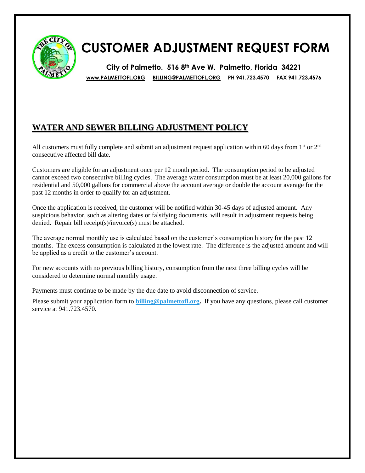

## **CUSTOMER ADJUSTMENT REQUEST FORM**

**City of Palmetto. 516 8th Ave W. Palmetto, Florida 34221 [www.PALMETTOFL.ORG](http://www.palmettofl.org/) [BILLING@PALMETTOFL.ORG](mailto:BILLING@PALMETTOFL.ORG) PH 941.723.4570 FAX 941.723.4576**

## **WATER AND SEWER BILLING ADJUSTMENT POLICY**

All customers must fully complete and submit an adjustment request application within 60 days from  $1<sup>st</sup>$  or  $2<sup>nd</sup>$ consecutive affected bill date.

Customers are eligible for an adjustment once per 12 month period. The consumption period to be adjusted cannot exceed two consecutive billing cycles. The average water consumption must be at least 20,000 gallons for residential and 50,000 gallons for commercial above the account average or double the account average for the past 12 months in order to qualify for an adjustment.

Once the application is received, the customer will be notified within 30-45 days of adjusted amount. Any suspicious behavior, such as altering dates or falsifying documents, will result in adjustment requests being denied. Repair bill receipt(s)/invoice(s) must be attached.

The average normal monthly use is calculated based on the customer's consumption history for the past 12 months. The excess consumption is calculated at the lowest rate. The difference is the adjusted amount and will be applied as a credit to the customer's account.

For new accounts with no previous billing history, consumption from the next three billing cycles will be considered to determine normal monthly usage.

Payments must continue to be made by the due date to avoid disconnection of service.

Please submit your application form to **[billing@palmettofl.org.](mailto:billing@palmettofl.org)** If you have any questions, please call customer service at 941.723.4570.